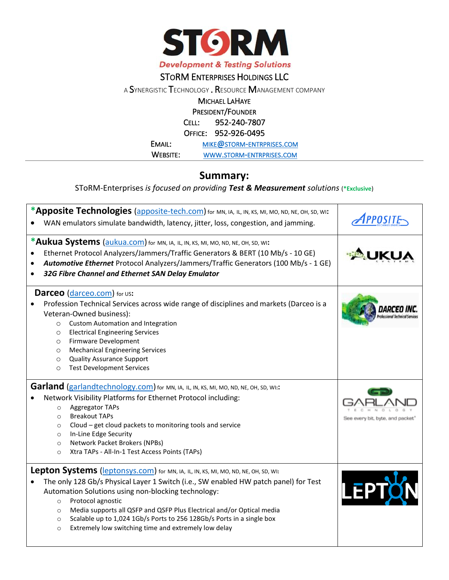

## STORM ENTERPRISES HOLDINGS LLC

<sup>A</sup>SYNERGISTIC TECHNOLOGY . RESOURCE MANAGEMENT COMPANY

MICHAEL LAHAYE

PRESIDENT/FOUNDER

CELL: 952-240-7807

OFFICE: 952-926-0495

EMAIL: MIKE@STORM-[ENTRPRISES](mailto:mike@storm-entrprises.com).COM

WEBSITE: WWW.STORM-[ENTRPRISES](http://www.storm-entrprises.com/).COM

## **Summary:**

SToRM-Enterprises *is focused on providing Test & Measurement solutions* (**\*Exclusive**)

| *Apposite Technologies (apposite-tech.com) for MN, IA, IL, IN, KS, MI, MO, ND, NE, OH, SD, WI:<br>WAN emulators simulate bandwidth, latency, jitter, loss, congestion, and jamming.                                                                                                                                                                                                                                                                                                                          | <i><b>1PPOSITF</b></i>           |
|--------------------------------------------------------------------------------------------------------------------------------------------------------------------------------------------------------------------------------------------------------------------------------------------------------------------------------------------------------------------------------------------------------------------------------------------------------------------------------------------------------------|----------------------------------|
| *Aukua Systems (aukua.com) for MN, IA, IL, IN, KS, MI, MO, ND, NE, OH, SD, WI:<br>Ethernet Protocol Analyzers/Jammers/Traffic Generators & BERT (10 Mb/s - 10 GE)<br>Automotive Ethernet Protocol Analyzers/Jammers/Traffic Generators (100 Mb/s - 1 GE)<br>$\bullet$<br>32G Fibre Channel and Ethernet SAN Delay Emulator                                                                                                                                                                                   |                                  |
| <b>Darceo</b> (darceo.com) for us:<br>Profession Technical Services across wide range of disciplines and markets (Darceo is a<br>Veteran-Owned business):<br><b>Custom Automation and Integration</b><br>$\circ$<br><b>Electrical Engineering Services</b><br>$\circ$<br>Firmware Development<br>$\circ$<br><b>Mechanical Engineering Services</b><br>$\circ$<br><b>Quality Assurance Support</b><br>$\circ$<br><b>Test Development Services</b><br>$\circ$                                                  |                                  |
| Garland (garlandtechnology.com) for MN, IA, IL, IN, KS, MI, MO, ND, NE, OH, SD, WI:<br>Network Visibility Platforms for Ethernet Protocol including:<br>Aggregator TAPs<br>$\circ$<br><b>Breakout TAPs</b><br>$\circ$<br>Cloud - get cloud packets to monitoring tools and service<br>$\circ$<br>In-Line Edge Security<br>$\circ$<br>Network Packet Brokers (NPBs)<br>$\circ$<br>Xtra TAPs - All-In-1 Test Access Points (TAPs)<br>$\circ$                                                                   | See every bit, byte, and packet' |
| Lepton Systems (leptonsys.com) for MN, IA, IL, IN, KS, MI, MO, ND, NE, OH, SD, WI:<br>The only 128 Gb/s Physical Layer 1 Switch (i.e., SW enabled HW patch panel) for Test<br>Automation Solutions using non-blocking technology:<br>Protocol agnostic<br>$\circ$<br>Media supports all QSFP and QSFP Plus Electrical and/or Optical media<br>$\circ$<br>Scalable up to 1,024 1Gb/s Ports to 256 128Gb/s Ports in a single box<br>$\circ$<br>Extremely low switching time and extremely low delay<br>$\circ$ |                                  |